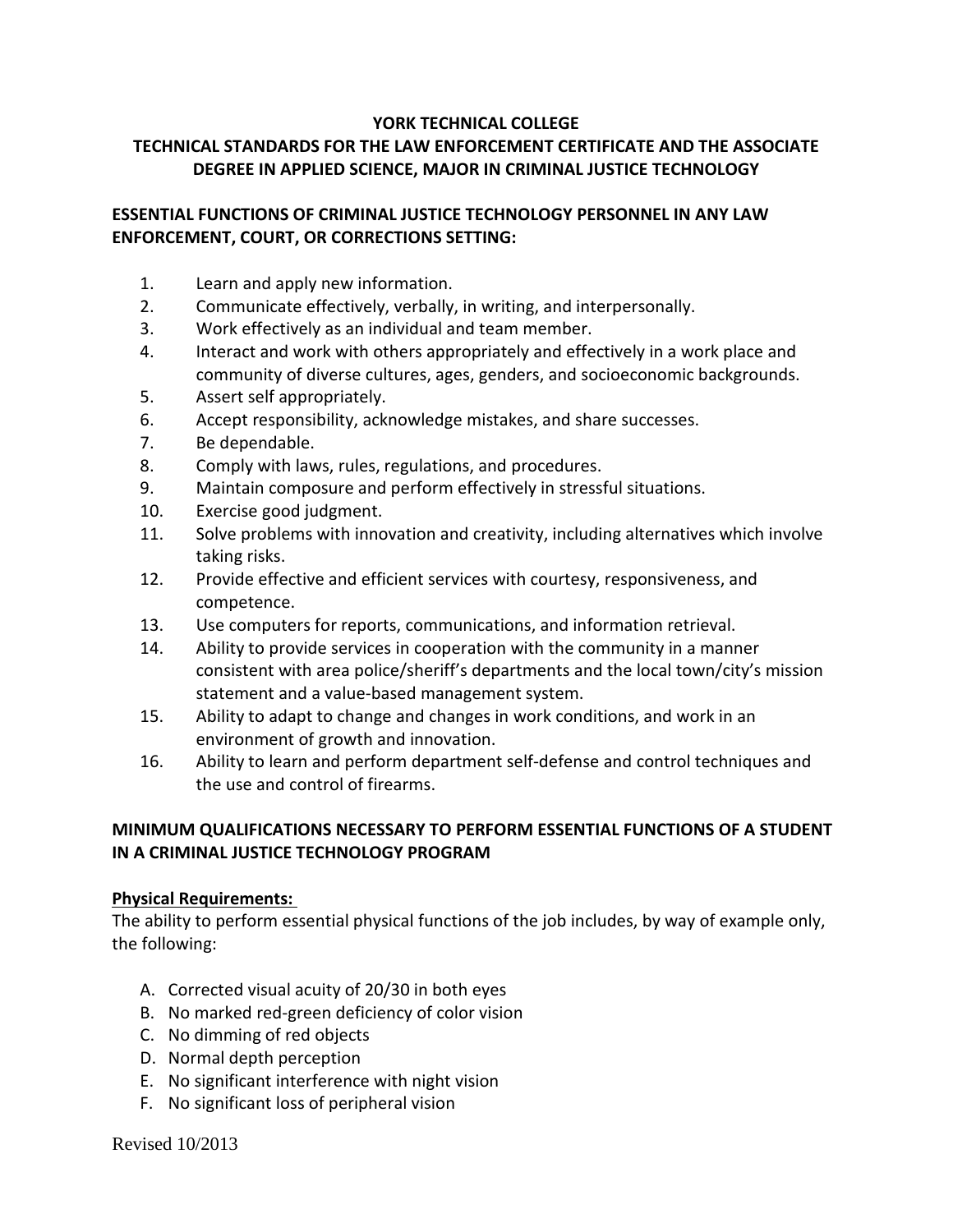#### **YORK TECHNICAL COLLEGE**

## **TECHNICAL STANDARDS FOR THE LAW ENFORCEMENT CERTIFICATE AND THE ASSOCIATE DEGREE IN APPLIED SCIENCE, MAJOR IN CRIMINAL JUSTICE TECHNOLOGY**

### **ESSENTIAL FUNCTIONS OF CRIMINAL JUSTICE TECHNOLOGY PERSONNEL IN ANY LAW ENFORCEMENT, COURT, OR CORRECTIONS SETTING:**

- 1. Learn and apply new information.
- 2. Communicate effectively, verbally, in writing, and interpersonally.
- 3. Work effectively as an individual and team member.
- 4. Interact and work with others appropriately and effectively in a work place and community of diverse cultures, ages, genders, and socioeconomic backgrounds.
- 5. Assert self appropriately.
- 6. Accept responsibility, acknowledge mistakes, and share successes.
- 7. Be dependable.
- 8. Comply with laws, rules, regulations, and procedures.
- 9. Maintain composure and perform effectively in stressful situations.
- 10. Exercise good judgment.
- 11. Solve problems with innovation and creativity, including alternatives which involve taking risks.
- 12. Provide effective and efficient services with courtesy, responsiveness, and competence.
- 13. Use computers for reports, communications, and information retrieval.
- 14. Ability to provide services in cooperation with the community in a manner consistent with area police/sheriff's departments and the local town/city's mission statement and a value-based management system.
- 15. Ability to adapt to change and changes in work conditions, and work in an environment of growth and innovation.
- 16. Ability to learn and perform department self-defense and control techniques and the use and control of firearms.

### **MINIMUM QUALIFICATIONS NECESSARY TO PERFORM ESSENTIAL FUNCTIONS OF A STUDENT IN A CRIMINAL JUSTICE TECHNOLOGY PROGRAM**

### **Physical Requirements:**

The ability to perform essential physical functions of the job includes, by way of example only, the following:

- A. Corrected visual acuity of 20/30 in both eyes
- B. No marked red-green deficiency of color vision
- C. No dimming of red objects
- D. Normal depth perception
- E. No significant interference with night vision
- F. No significant loss of peripheral vision